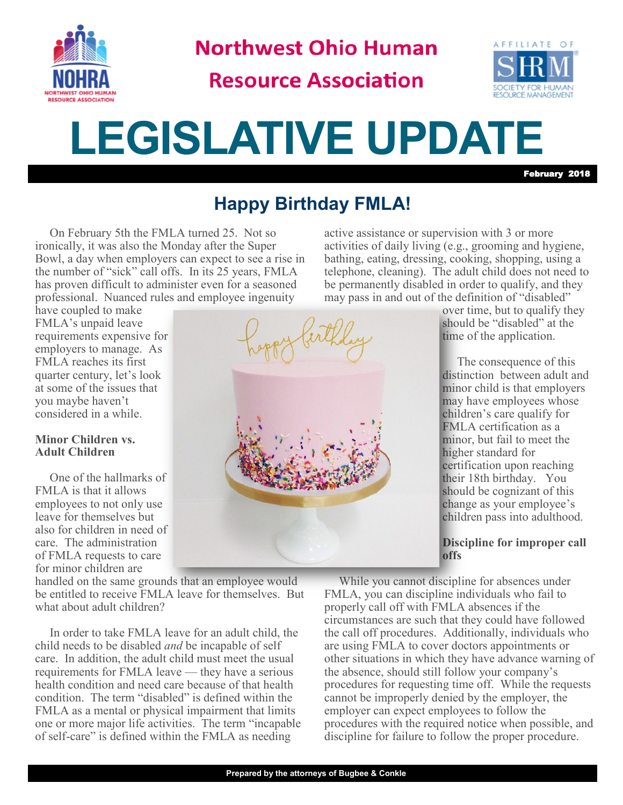

**Northwest Ohio Human** 

**Resource Association** 



# **LEGISLATIVE UPDATE**

February 2018

### **Happy Birthday FMLA!**

On February 5th the FMLA turned 25. Not so ironically, it was also the Monday after the Super Bowl, a day when employers can expect to see a rise in the number of "sick" call offs. In its 25 years, FMLA has proven difficult to administer even for a seasoned professional. Nuanced rules and employee ingenuity

have coupled to make FMLA's unpaid leave requirements expensive for employers to manage. As FMLA reaches its first quarter century, let's look at some of the issues that you maybe haven't considered in a while.

### **Minor Children vs. Adult Children**

One of the hallmarks of FMLA is that it allows employees to not only use leave for themselves but also for children in need of care. The administration of FMLA requests to care for minor children are

handled on the same grounds that an employee would be entitled to receive FMLA leave for themselves. But what about adult children?

In order to take FMLA leave for an adult child, the child needs to be disabled *and* be incapable of self care. In addition, the adult child must meet the usual requirements for FMLA leave — they have a serious health condition and need care because of that health condition. The term "disabled" is defined within the FMLA as a mental or physical impairment that limits one or more major life activities. The term "incapable of self-care" is defined within the FMLA as needing



active assistance or supervision with 3 or more activities of daily living (e.g., grooming and hygiene, bathing, eating, dressing, cooking, shopping, using a telephone, cleaning). The adult child does not need to be permanently disabled in order to qualify, and they may pass in and out of the definition of "disabled"

> over time, but to qualify they should be "disabled" at the time of the application.

The consequence of this distinction between adult and minor child is that employers may have employees whose children's care qualify for FMLA certification as a minor, but fail to meet the higher standard for certification upon reaching their 18th birthday. You should be cognizant of this change as your employee's children pass into adulthood.

#### **Discipline for improper call offs**

While you cannot discipline for absences under FMLA, you can discipline individuals who fail to properly call off with FMLA absences if the circumstances are such that they could have followed the call off procedures. Additionally, individuals who are using FMLA to cover doctors appointments or other situations in which they have advance warning of the absence, should still follow your company's procedures for requesting time off. While the requests cannot be improperly denied by the employer, the employer can expect employees to follow the procedures with the required notice when possible, and discipline for failure to follow the proper procedure.